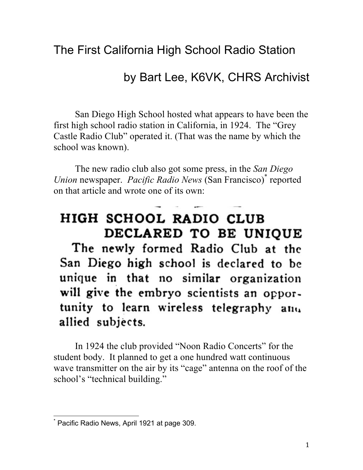## The First California High School Radio Station

## by Bart Lee, K6VK, CHRS Archivist

San Diego High School hosted what appears to have been the first high school radio station in California, in 1924. The "Grey Castle Radio Club" operated it. (That was the name by which the school was known).

The new radio club also got some press, in the *San Diego Union* newspaper. *Pacific Radio News* (San Francisco)\* reported on that article and wrote one of its own:

## HIGH SCHOOL RADIO CLUB DECLARED TO BE UNIOUE

The newly formed Radio Club at the San Diego high school is declared to be unique in that no similar organization will give the embryo scientists an opportunity to learn wireless telegraphy and allied subjects.

In 1924 the club provided "Noon Radio Concerts" for the student body. It planned to get a one hundred watt continuous wave transmitter on the air by its "cage" antenna on the roof of the school's "technical building."

 

<sup>\*</sup> Pacific Radio News, April 1921 at page 309.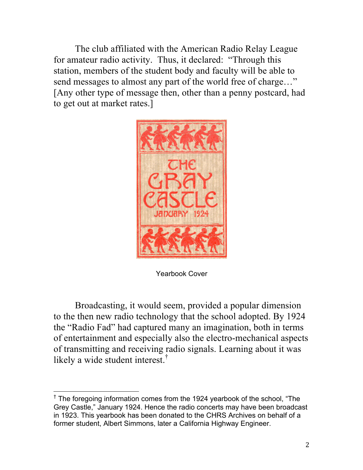The club affiliated with the American Radio Relay League for amateur radio activity. Thus, it declared: "Through this station, members of the student body and faculty will be able to send messages to almost any part of the world free of charge…" [Any other type of message then, other than a penny postcard, had to get out at market rates.]



Yearbook Cover

Broadcasting, it would seem, provided a popular dimension to the then new radio technology that the school adopted. By 1924 the "Radio Fad" had captured many an imagination, both in terms of entertainment and especially also the electro-mechanical aspects of transmitting and receiving radio signals. Learning about it was likely a wide student interest. †

 

<sup>&</sup>lt;sup>†</sup> The foregoing information comes from the 1924 yearbook of the school, "The Grey Castle," January 1924. Hence the radio concerts may have been broadcast in 1923. This yearbook has been donated to the CHRS Archives on behalf of a former student, Albert Simmons, later a California Highway Engineer.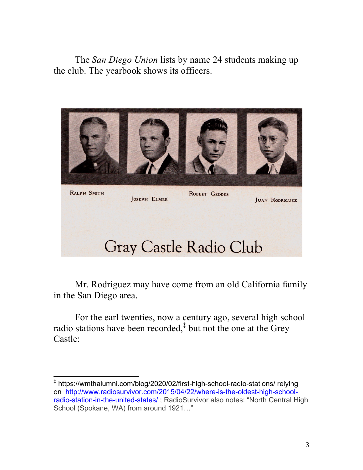The *San Diego Union* lists by name 24 students making up the club. The yearbook shows its officers.



Mr. Rodriguez may have come from an old California family in the San Diego area.

For the earl twenties, now a century ago, several high school radio stations have been recorded, $\ddot{\text{ }t}$  but not the one at the Grey Castle:

 

<sup>‡</sup> https://wmthalumni.com/blog/2020/02/first-high-school-radio-stations/ relying on http://www.radiosurvivor.com/2015/04/22/where-is-the-oldest-high-schoolradio-station-in-the-united-states/ ; RadioSurvivor also notes: "North Central High School (Spokane, WA) from around 1921…"